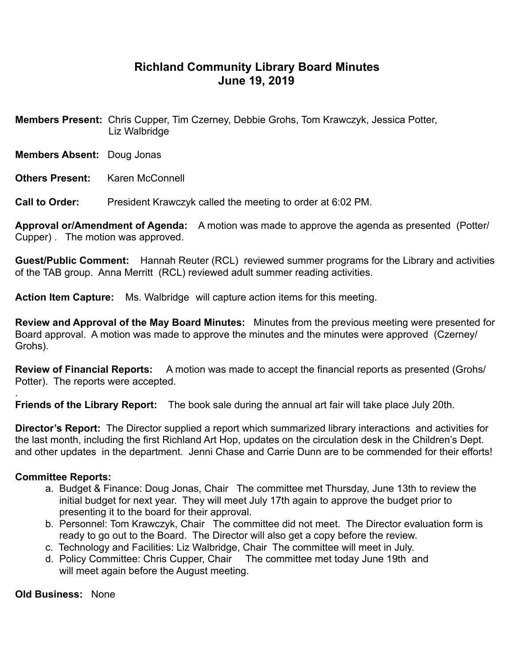## **Richland Community Library Board Minutes June 19, 2019**

**Members Present:** Chris Cupper, Tim Czerney, Debbie Grohs, Tom Krawczyk, Jessica Potter, Liz Walbridge

- **Members Absent:** Doug Jonas
- **Others Present: Karen McConnell**

**Call to Order:** President Krawczyk called the meeting to order at 6:02 PM.

**Approval or/Amendment of Agenda:** A motion was made to approve the agenda as presented (Potter/ Cupper) . The motion was approved.

**Guest/Public Comment:** Hannah Reuter (RCL) reviewed summer programs for the Library and activities of the TAB group. Anna Merritt (RCL) reviewed adult summer reading activities.

**Action Item Capture:** Ms. Walbridge will capture action items for this meeting.

**Review and Approval of the May Board Minutes:** Minutes from the previous meeting were presented for Board approval. A motion was made to approve the minutes and the minutes were approved (Czerney/ Grohs).

**Review of Financial Reports:** A motion was made to accept the financial reports as presented (Grohs/ Potter). The reports were accepted.

. **Friends of the Library Report:** The book sale during the annual art fair will take place July 20th.

**Director's Report:** The Director supplied a report which summarized library interactions and activities for the last month, including the first Richland Art Hop, updates on the circulation desk in the Children's Dept. and other updates in the department. Jenni Chase and Carrie Dunn are to be commended for their efforts!

## **Committee Reports:**

- a. Budget & Finance: Doug Jonas, Chair The committee met Thursday, June 13th to review the initial budget for next year. They will meet July 17th again to approve the budget prior to presenting it to the board for their approval.
- b. Personnel: Tom Krawczyk, Chair The committee did not meet. The Director evaluation form is ready to go out to the Board. The Director will also get a copy before the review.
- c. Technology and Facilities: Liz Walbridge, Chair The committee will meet in July.
- d. Policy Committee: Chris Cupper, Chair The committee met today June 19th and will meet again before the August meeting.

**Old Business:** None